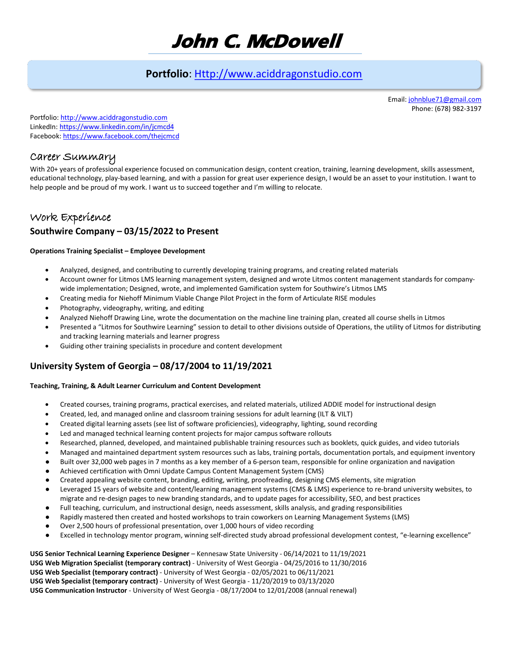# **John C. McDowell**

# **Portfolio**: [Http://www.aciddragonstudio.com](http://www.aciddragonstudio.com/)

Email[: johnblue71@gmail.com](mailto:johnblue71@gmail.com) Phone: (678) 982-3197

Portfolio[: http://www.aciddragonstudio.com](http://www.aciddragonstudio.com/)  LinkedIn[: https://www.linkedin.com/in/jcmcd4](https://www.linkedin.com/in/jcmcd4) Facebook[: https://www.facebook.com/thejcmcd](https://www.facebook.com/thejcmcd) 

### Career Summary

With 20+ years of professional experience focused on communication design, content creation, training, learning development, skills assessment, educational technology, play-based learning, and with a passion for great user experience design, I would be an asset to your institution. I want to help people and be proud of my work. I want us to succeed together and I'm willing to relocate.

# Work Experience **Southwire Company – 03/15/2022 to Present**

#### **Operations Training Specialist – Employee Development**

- Analyzed, designed, and contributing to currently developing training programs, and creating related materials
- Account owner for Litmos LMS learning management system, designed and wrote Litmos content management standards for companywide implementation; Designed, wrote, and implemented Gamification system for Southwire's Litmos LMS
- Creating media for Niehoff Minimum Viable Change Pilot Project in the form of Articulate RISE modules
- Photography, videography, writing, and editing
- Analyzed Niehoff Drawing Line, wrote the documentation on the machine line training plan, created all course shells in Litmos
- Presented a "Litmos for Southwire Learning" session to detail to other divisions outside of Operations, the utility of Litmos for distributing and tracking learning materials and learner progress
- Guiding other training specialists in procedure and content development

### **University System of Georgia – 08/17/2004 to 11/19/2021**

#### **Teaching, Training, & Adult Learner Curriculum and Content Development**

- Created courses, training programs, practical exercises, and related materials, utilized ADDIE model for instructional design
- Created, led, and managed online and classroom training sessions for adult learning (ILT & VILT)
- Created digital learning assets (see list of software proficiencies), videography, lighting, sound recording
- Led and managed technical learning content projects for major campus software rollouts
- Researched, planned, developed, and maintained publishable training resources such as booklets, quick guides, and video tutorials
- Managed and maintained department system resources such as labs, training portals, documentation portals, and equipment inventory
- Built over 32,000 web pages in 7 months as a key member of a 6-person team, responsible for online organization and navigation
- Achieved certification with Omni Update Campus Content Management System (CMS)
- Created appealing website content, branding, editing, writing, proofreading, designing CMS elements, site migration
- Leveraged 15 years of website and content/learning management systems (CMS & LMS) experience to re-brand university websites, to migrate and re-design pages to new branding standards, and to update pages for accessibility, SEO, and best practices
- Full teaching, curriculum, and instructional design, needs assessment, skills analysis, and grading responsibilities
- Rapidly mastered then created and hosted workshops to train coworkers on Learning Management Systems (LMS)
- Over 2,500 hours of professional presentation, over 1,000 hours of video recording
- Excelled in technology mentor program, winning self-directed study abroad professional development contest, "e-learning excellence"

**USG Senior Technical Learning Experience Designer** – Kennesaw State University - 06/14/2021 to 11/19/2021 **USG Web Migration Specialist (temporary contract)** - University of West Georgia - 04/25/2016 to 11/30/2016 **USG Web Specialist (temporary contract)** - University of West Georgia - 02/05/2021 to 06/11/2021 **USG Web Specialist (temporary contract)** - University of West Georgia - 11/20/2019 to 03/13/2020 **USG Communication Instructor** - University of West Georgia - 08/17/2004 to 12/01/2008 (annual renewal)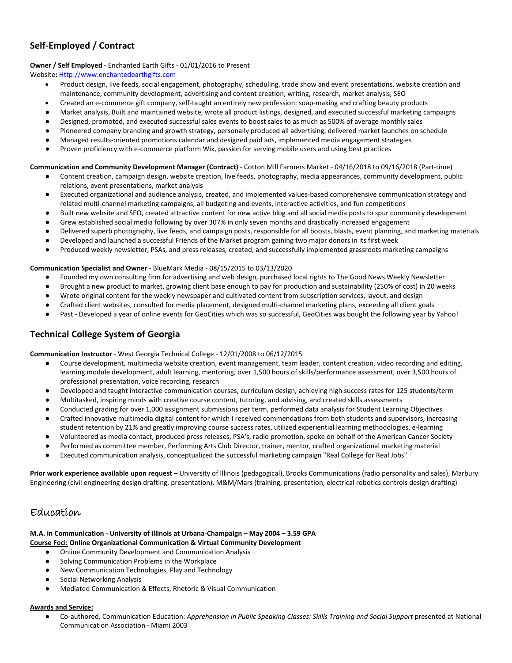### **Self-Employed / Contract**

#### **Owner / Self Employed** - Enchanted Earth Gifts - 01/01/2016 to Present

Website**:** [Http://www.enchantedearthgifts.com](http://www.enchantedearthgifts.com/) 

- Product design, live feeds, social engagement, photography, scheduling, trade show and event presentations, website creation and maintenance, community development, advertising and content creation, writing, research, market analysis, SEO
- Created an e-commerce gift company, self-taught an entirely new profession: soap-making and crafting beauty products
- Market analysis, Built and maintained website, wrote all product listings, designed, and executed successful marketing campaigns
- Designed, promoted, and executed successful sales events to boost sales to as much as 500% of average monthly sales
- Pioneered company branding and growth strategy, personally produced all advertising, delivered market launches on schedule
- Managed results-oriented promotions calendar and designed paid ads, implemented media engagement strategies
- Proven proficiency with e-commerce platform Wix, passion for serving mobile users and using best practices

#### **Communication and Community Development Manager (Contract)** - Cotton Mill Farmers Market - 04/16/2018 to 09/16/2018 (Part-time)

- Content creation, campaign design, website creation, live feeds, photography, media appearances, community development, public relations, event presentations, market analysis
- Executed organizational and audience analysis, created, and implemented values-based comprehensive communication strategy and related multi-channel marketing campaigns, all budgeting and events, interactive activities, and fun competitions
- Built new website and SEO, created attractive content for new active blog and all social media posts to spur community development
- Grew established social media following by over 307% in only seven months and drastically increased engagement
- Delivered superb photography, live feeds, and campaign posts, responsible for all boosts, blasts, event planning, and marketing materials
- Developed and launched a successful Friends of the Market program gaining two major donors in its first week
- Produced weekly newsletter, PSAs, and press releases, created, and successfully implemented grassroots marketing campaigns

#### **Communication Specialist and Owner** - BlueMark Media - 08/15/2015 to 03/13/2020

- Founded my own consulting firm for advertising and web design, purchased local rights to The Good News Weekly Newsletter
- Brought a new product to market, growing client base enough to pay for production and sustainability (250% of cost) in 20 weeks
- Wrote original content for the weekly newspaper and cultivated content from subscription services, layout, and design
- Crafted client websites, consulted for media placement, designed multi-channel marketing plans, exceeding all client goals
- Past Developed a year of online events for GeoCities which was so successful, GeoCities was bought the following year by Yahoo!

### **Technical College System of Georgia**

**Communication Instructor** - West Georgia Technical College - 12/01/2008 to 06/12/2015

- Course development, multimedia website creation, event management, team leader, content creation, video recording and editing, learning module development, adult learning, mentoring, over 1,500 hours of skills/performance assessment, over 3,500 hours of professional presentation, voice recording, research
- Developed and taught interactive communication courses, curriculum design, achieving high success rates for 125 students/term
- Multitasked, inspiring minds with creative course content, tutoring, and advising, and created skills assessments
- Conducted grading for over 1,000 assignment submissions per term, performed data analysis for Student Learning Objectives
- Crafted innovative multimedia digital content for which I received commendations from both students and supervisors, increasing student retention by 21% and greatly improving course success rates, utilized experiential learning methodologies, e-learning
- Volunteered as media contact, produced press releases, PSA's, radio promotion, spoke on behalf of the American Cancer Society
- Performed as committee member, Performing Arts Club Director, trainer, mentor, crafted organizational marketing material
- Executed communication analysis, conceptualized the successful marketing campaign "Real College for Real Jobs"

**Prior work experience available upon request –** University of Illinois (pedagogical), Brooks Communications (radio personality and sales), Marbury Engineering (civil engineering design drafting, presentation), M&M/Mars (training, presentation, electrical robotics controls design drafting)

### Education

#### **M.A. in Communication - University of Illinois at Urbana-Champaign – May 2004 – 3.59 GPA Course Foci: Online Organizational Communication & Virtual Community Development**

- Online Community Development and Communication Analysis
- Solving Communication Problems in the Workplace
- New Communication Technologies, Play and Technology
- Social Networking Analysis
- Mediated Communication & Effects, Rhetoric & Visual Communication

#### **Awards and Service:**

● Co-authored, Communication Education: *Apprehension in Public Speaking Classes: Skills Training and Social Support* presented at National Communication Association - Miami 2003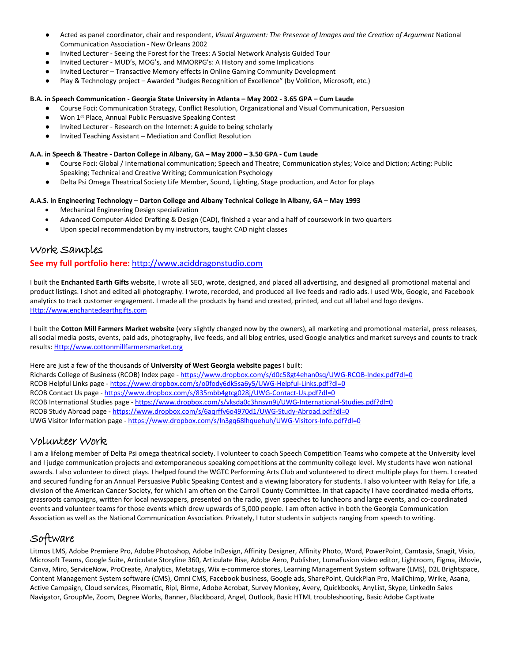- Acted as panel coordinator, chair and respondent, *Visual Argument: The Presence of Images and the Creation of Argument* National Communication Association - New Orleans 2002
- Invited Lecturer Seeing the Forest for the Trees: A Social Network Analysis Guided Tour
- Invited Lecturer MUD's, MOG's, and MMORPG's: A History and some Implications
- Invited Lecturer Transactive Memory effects in Online Gaming Community Development
- Play & Technology project Awarded "Judges Recognition of Excellence" (by Volition, Microsoft, etc.)

#### **B.A. in Speech Communication - Georgia State University in Atlanta – May 2002 - 3.65 GPA – Cum Laude**

- Course Foci: Communication Strategy, Conflict Resolution, Organizational and Visual Communication, Persuasion
- Won 1<sup>st</sup> Place, Annual Public Persuasive Speaking Contest
- Invited Lecturer Research on the Internet: A guide to being scholarly
- Invited Teaching Assistant Mediation and Conflict Resolution

#### **A.A. in Speech & Theatre - Darton College in Albany, GA – May 2000 – 3.50 GPA - Cum Laude**

- Course Foci: Global / International communication; Speech and Theatre; Communication styles; Voice and Diction; Acting; Public Speaking; Technical and Creative Writing; Communication Psychology
- Delta Psi Omega Theatrical Society Life Member, Sound, Lighting, Stage production, and Actor for plays

#### **A.A.S. in Engineering Technology – Darton College and Albany Technical College in Albany, GA – May 1993**

- Mechanical Engineering Design specialization
- Advanced Computer-Aided Drafting & Design (CAD), finished a year and a half of coursework in two quarters
- Upon special recommendation by my instructors, taught CAD night classes

### Work Samples

#### **See my full portfolio here:** [http://www.aciddragonstudio.com](http://www.aciddragonstudio.com/)

I built the **Enchanted Earth Gifts** website, I wrote all SEO, wrote, designed, and placed all advertising, and designed all promotional material and product listings. I shot and edited all photography. I wrote, recorded, and produced all live feeds and radio ads. I used Wix, Google, and Facebook analytics to track customer engagement. I made all the products by hand and created, printed, and cut all label and logo designs. [Http://www.enchantedearthgifts.com](http://www.enchantedearthgifts.com/) 

I built the **Cotton Mill Farmers Market website** (very slightly changed now by the owners), all marketing and promotional material, press releases, all social media posts, events, paid ads, photography, live feeds, and all blog entries, used Google analytics and market surveys and counts to track results: [Http://www.cottonmillfarmersmarket.org](http://www.cottonmillfarmersmarket.org/) 

Here are just a few of the thousands of **University of West Georgia website pages** I built:

Richards College of Business (RCOB) Index page -<https://www.dropbox.com/s/d0c58gt4ehan0sq/UWG-RCOB-Index.pdf?dl=0> RCOB Helpful Links page - https://www.dropbox.com/s/o0fody6dk5sa6y5/UWG-Helpful-Links.pdf?dl=0 RCOB Contact Us page -<https://www.dropbox.com/s/835mbb4gtcg028j/UWG-Contact-Us.pdf?dl=0> RCOB International Studies page [- https://www.dropbox.com/s/vksda0c3hnsyn9j/UWG-International-Studies.pdf?dl=0](https://www.dropbox.com/s/vksda0c3hnsyn9j/UWG-International-Studies.pdf?dl=0) RCOB Study Abroad page -<https://www.dropbox.com/s/6aqrffv6o4970d1/UWG-Study-Abroad.pdf?dl=0> UWG Visitor Information page [- https://www.dropbox.com/s/ln3gq68lhquehuh/UWG-Visitors-Info.pdf?dl=0](https://www.dropbox.com/s/ln3gq68lhquehuh/UWG-Visitors-Info.pdf?dl=0)

### Volunteer Work

I am a lifelong member of Delta Psi omega theatrical society. I volunteer to coach Speech Competition Teams who compete at the University level and I judge communication projects and extemporaneous speaking competitions at the community college level. My students have won national awards. I also volunteer to direct plays. I helped found the WGTC Performing Arts Club and volunteered to direct multiple plays for them. I created and secured funding for an Annual Persuasive Public Speaking Contest and a viewing laboratory for students. I also volunteer with Relay for Life, a division of the American Cancer Society, for which I am often on the Carroll County Committee. In that capacity I have coordinated media efforts, grassroots campaigns, written for local newspapers, presented on the radio, given speeches to luncheons and large events, and co-coordinated events and volunteer teams for those events which drew upwards of 5,000 people. I am often active in both the Georgia Communication Association as well as the National Communication Association. Privately, I tutor students in subjects ranging from speech to writing.

## Software

Litmos LMS, Adobe Premiere Pro, Adobe Photoshop, Adobe InDesign, Affinity Designer, Affinity Photo, Word, PowerPoint, Camtasia, Snagit, Visio, Microsoft Teams, Google Suite, Articulate Storyline 360, Articulate Rise, Adobe Aero, Publisher, LumaFusion video editor, Lightroom, Figma, iMovie, Canva, Miro, ServiceNow, ProCreate, Analytics, Metatags, Wix e-commerce stores, Learning Management System software (LMS), D2L Brightspace, Content Management System software (CMS), Omni CMS, Facebook business, Google ads, SharePoint, QuickPlan Pro, MailChimp, Wrike, Asana, Active Campaign, Cloud services, Pixomatic, Ripl, Birme, Adobe Acrobat, Survey Monkey, Avery, Quickbooks, AnyList, Skype, LinkedIn Sales Navigator, GroupMe, Zoom, Degree Works, Banner, Blackboard, Angel, Outlook, Basic HTML troubleshooting, Basic Adobe Captivate